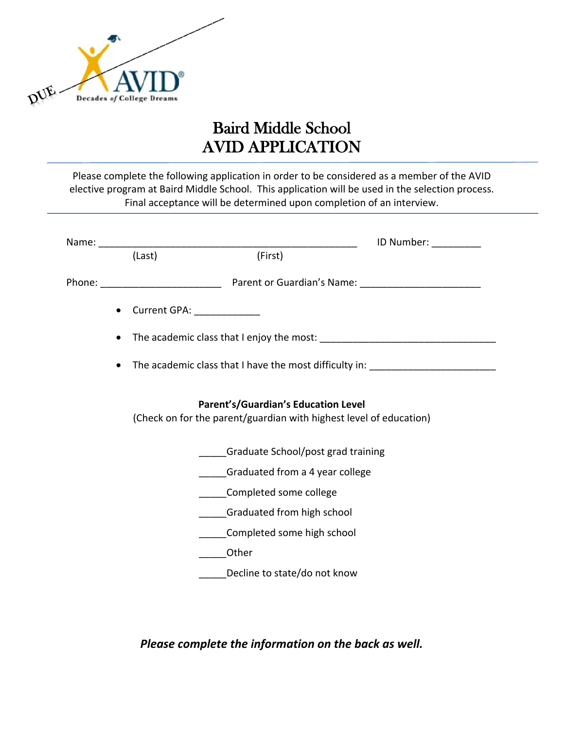

## Baird Middle School AVID APPLICATION

Please complete the following application in order to be considered as a member of the AVID elective program at Baird Middle School. This application will be used in the selection process. Final acceptance will be determined upon completion of an interview.

|           |                                                                                                           |                              | ID Number: The Number |
|-----------|-----------------------------------------------------------------------------------------------------------|------------------------------|-----------------------|
|           | (Last)                                                                                                    | (First)                      |                       |
|           | Phone: Phone: Parent or Guardian's Name: Phone:                                                           |                              |                       |
| $\bullet$ | Current GPA: ______________                                                                               |                              |                       |
| $\bullet$ |                                                                                                           |                              |                       |
| $\bullet$ | The academic class that I have the most difficulty in: _________________________                          |                              |                       |
|           | Parent's/Guardian's Education Level<br>(Check on for the parent/guardian with highest level of education) |                              |                       |
|           | Graduate School/post grad training                                                                        |                              |                       |
|           | Graduated from a 4 year college                                                                           |                              |                       |
|           |                                                                                                           | Completed some college       |                       |
|           |                                                                                                           | Graduated from high school   |                       |
|           |                                                                                                           | Completed some high school   |                       |
|           | Other                                                                                                     |                              |                       |
|           |                                                                                                           | Decline to state/do not know |                       |

*Please complete the information on the back as well.*